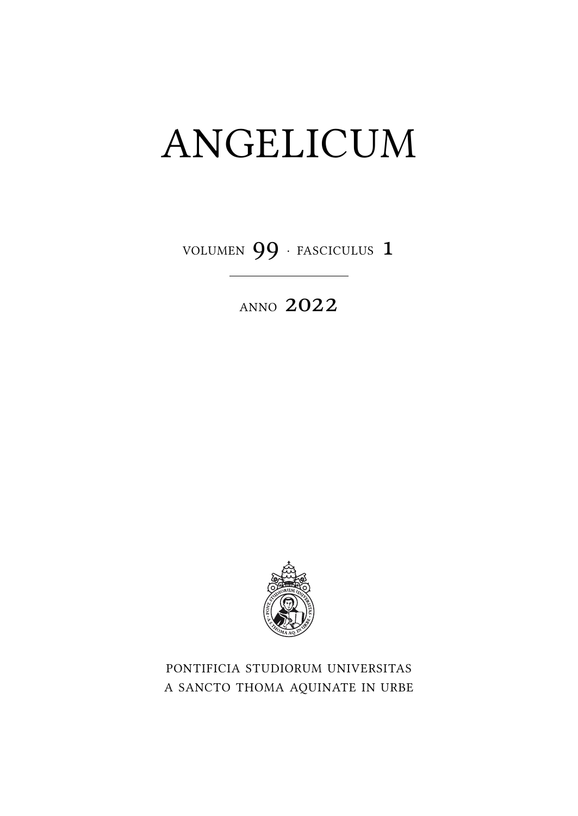## ANGELICUM

VOLUMEN 99 · FASCICULUS 1

**ANNO 2022** 



PONTIFICIA STUDIORUM UNIVERSITAS A SANCTO THOMA AQUINATE IN URBE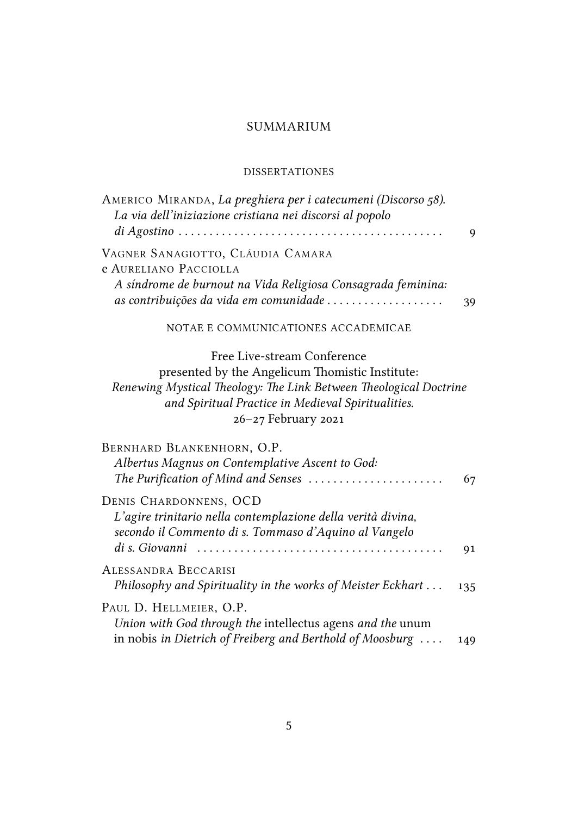## SUMMARIUM

## **DISSERTATIONES**

| AMERICO MIRANDA, La preghiera per i catecumeni (Discorso 58).<br>La via dell'iniziazione cristiana nei discorsi al popolo                                                                                                        | 9   |
|----------------------------------------------------------------------------------------------------------------------------------------------------------------------------------------------------------------------------------|-----|
| VAGNER SANAGIOTTO, CLÁUDIA CAMARA<br>e AURELIANO PACCIOLLA<br>A síndrome de burnout na Vida Religiosa Consagrada feminina:<br>as contribuições da vida em comunidade                                                             | 39  |
| NOTAE E COMMUNICATIONES ACCADEMICAE                                                                                                                                                                                              |     |
| Free Live-stream Conference<br>presented by the Angelicum Thomistic Institute:<br>Renewing Mystical Theology: The Link Between Theological Doctrine<br>and Spiritual Practice in Medieval Spiritualities.<br>26-27 February 2021 |     |
| BERNHARD BLANKENHORN, O.P.<br>Albertus Magnus on Contemplative Ascent to God:<br>The Purification of Mind and Senses                                                                                                             | 67  |
| DENIS CHARDONNENS, OCD<br>L'agire trinitario nella contemplazione della verità divina,<br>secondo il Commento di s. Tommaso d'Aquino al Vangelo                                                                                  | 91  |
| ALESSANDRA BECCARISI<br>Philosophy and Spirituality in the works of Meister Eckhart                                                                                                                                              | 135 |
| PAUL D. HELLMEIER, O.P.<br>Union with God through the intellectus agens and the unum<br>in nobis in Dietrich of Freiberg and Berthold of Moosburg                                                                                | 149 |